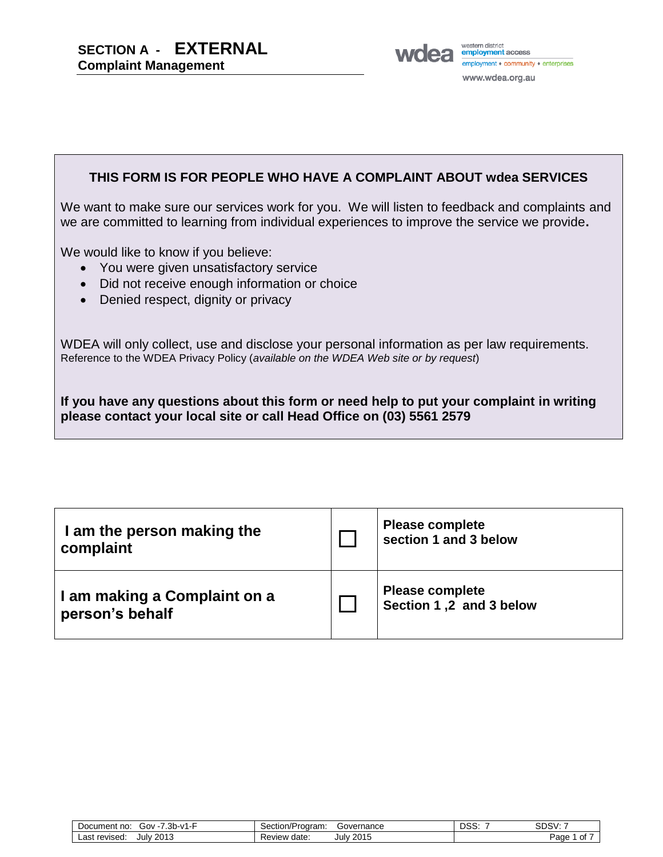**SECTION A - EXTERNAL Complaint Management**



#### **THIS FORM IS FOR PEOPLE WHO HAVE A COMPLAINT ABOUT wdea SERVICES**

We want to make sure our services work for you. We will listen to feedback and complaints and we are committed to learning from individual experiences to improve the service we provide**.**

We would like to know if you believe:

- You were given unsatisfactory service
- Did not receive enough information or choice
- Denied respect, dignity or privacy

WDEA will only collect, use and disclose your personal information as per law requirements. Reference to the WDEA Privacy Policy (*available on the WDEA Web site or by request*)

**If you have any questions about this form or need help to put your complaint in writing please contact your local site or call Head Office on (03) 5561 2579**

| I am the person making the<br>complaint         | <b>Please complete</b><br>section 1 and 3 below   |
|-------------------------------------------------|---------------------------------------------------|
| I am making a Complaint on a<br>person's behalf | <b>Please complete</b><br>Section 1,2 and 3 below |

| $3h - v1$<br>Gov -<br>Document no:<br>ں ب | Governance<br>n/Program:<br>$\sim$<br>$\sim$<br><b>SECTION</b> | פח<br>טט | SDSV:      |
|-------------------------------------------|----------------------------------------------------------------|----------|------------|
| 2013<br>revised<br>∟ast<br>July           | 2015<br>date:<br>Review<br>July<br>70                          |          | Page<br>Οİ |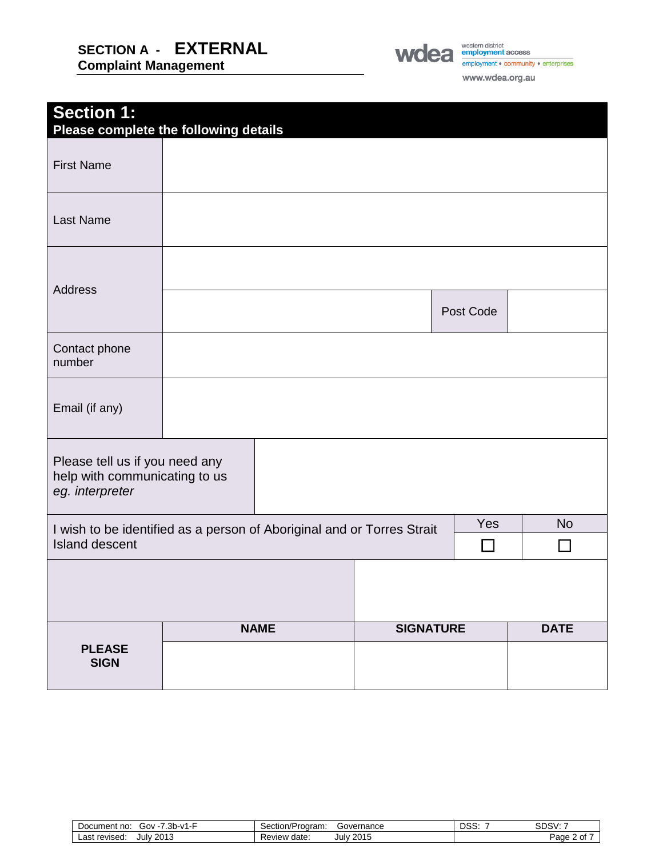### **SECTION A - EXTERNAL Complaint Management**



www.wdea.org.au

| <b>Section 1:</b><br>Please complete the following details                                      |             |                  |           |                           |
|-------------------------------------------------------------------------------------------------|-------------|------------------|-----------|---------------------------|
| <b>First Name</b>                                                                               |             |                  |           |                           |
| Last Name                                                                                       |             |                  |           |                           |
| <b>Address</b>                                                                                  |             |                  |           |                           |
|                                                                                                 |             |                  | Post Code |                           |
| Contact phone<br>number                                                                         |             |                  |           |                           |
| Email (if any)                                                                                  |             |                  |           |                           |
| Please tell us if you need any<br>help with communicating to us<br>eg. interpreter              |             |                  |           |                           |
| I wish to be identified as a person of Aboriginal and or Torres Strait<br><b>Island descent</b> |             |                  | Yes       | <b>No</b><br>$\mathsf{L}$ |
|                                                                                                 |             |                  |           |                           |
|                                                                                                 | <b>NAME</b> | <b>SIGNATURE</b> |           | <b>DATE</b>               |
| <b>PLEASE</b><br><b>SIGN</b>                                                                    |             |                  |           |                           |

Document no: Gov -7.3b-v1-F Section/Program: Governance DSS: 7 SDSV: 7 Last revised: July 2013 Review date: July 2015 Review date: July 2015 Page 2 of 7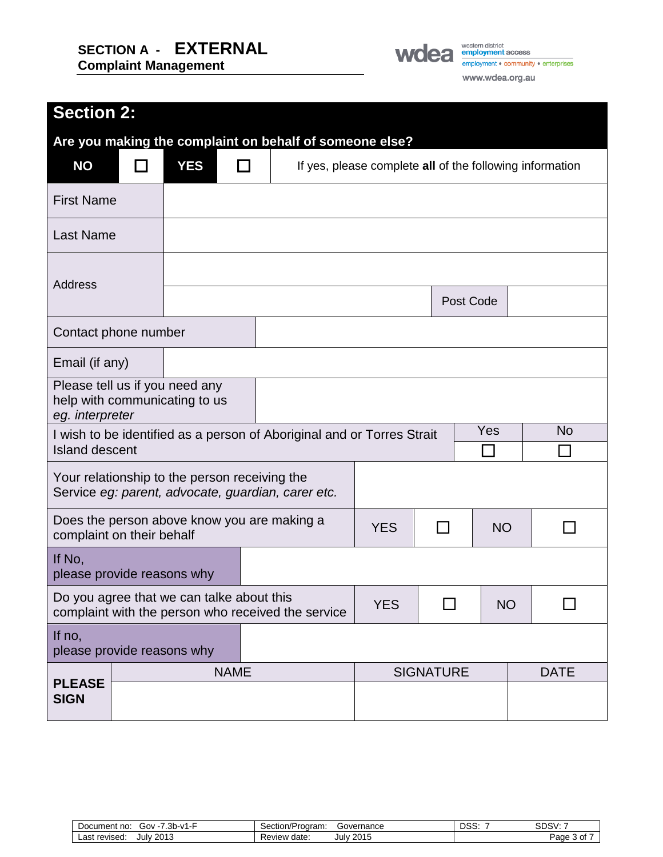# **SECTION A - EXTERNAL**

**Complaint Management**



# **Section 2:**

| Are you making the complaint on behalf of someone else?                                         |                                                                                                     |            |             |                                                                        |                                                          |                  |     |  |             |
|-------------------------------------------------------------------------------------------------|-----------------------------------------------------------------------------------------------------|------------|-------------|------------------------------------------------------------------------|----------------------------------------------------------|------------------|-----|--|-------------|
| <b>NO</b>                                                                                       |                                                                                                     | <b>YES</b> |             |                                                                        | If yes, please complete all of the following information |                  |     |  |             |
| <b>First Name</b>                                                                               |                                                                                                     |            |             |                                                                        |                                                          |                  |     |  |             |
| <b>Last Name</b>                                                                                |                                                                                                     |            |             |                                                                        |                                                          |                  |     |  |             |
| <b>Address</b>                                                                                  |                                                                                                     |            |             |                                                                        |                                                          |                  |     |  |             |
|                                                                                                 |                                                                                                     |            |             |                                                                        |                                                          | Post Code        |     |  |             |
| Contact phone number                                                                            |                                                                                                     |            |             |                                                                        |                                                          |                  |     |  |             |
| Email (if any)                                                                                  |                                                                                                     |            |             |                                                                        |                                                          |                  |     |  |             |
| Please tell us if you need any<br>help with communicating to us<br>eg. interpreter              |                                                                                                     |            |             |                                                                        |                                                          |                  |     |  |             |
| <b>Island descent</b>                                                                           |                                                                                                     |            |             | I wish to be identified as a person of Aboriginal and or Torres Strait |                                                          |                  | Yes |  | <b>No</b>   |
|                                                                                                 | Your relationship to the person receiving the<br>Service eg: parent, advocate, guardian, carer etc. |            |             |                                                                        |                                                          |                  |     |  |             |
| Does the person above know you are making a<br>complaint on their behalf                        |                                                                                                     |            | <b>YES</b>  |                                                                        | <b>NO</b>                                                |                  |     |  |             |
| If No,<br>please provide reasons why                                                            |                                                                                                     |            |             |                                                                        |                                                          |                  |     |  |             |
| Do you agree that we can talke about this<br>complaint with the person who received the service |                                                                                                     |            |             | <b>YES</b>                                                             |                                                          | <b>NO</b>        |     |  |             |
| If no,                                                                                          | please provide reasons why                                                                          |            |             |                                                                        |                                                          |                  |     |  |             |
|                                                                                                 |                                                                                                     |            | <b>NAME</b> |                                                                        |                                                          | <b>SIGNATURE</b> |     |  | <b>DATE</b> |
| <b>PLEASE</b><br><b>SIGN</b>                                                                    |                                                                                                     |            |             |                                                                        |                                                          |                  |     |  |             |

| .3b-v<br>Gov - i<br>Document no: | Program:<br>Governance<br>Section/F      | nee<br>טט | $\sim$<br>৲ເ<br>אפּשכ |
|----------------------------------|------------------------------------------|-----------|-----------------------|
| 2013<br>revised:<br>∟ast<br>July | 2015<br>date<br>◡<br>eview<br>July<br>ระ |           | Page<br>r             |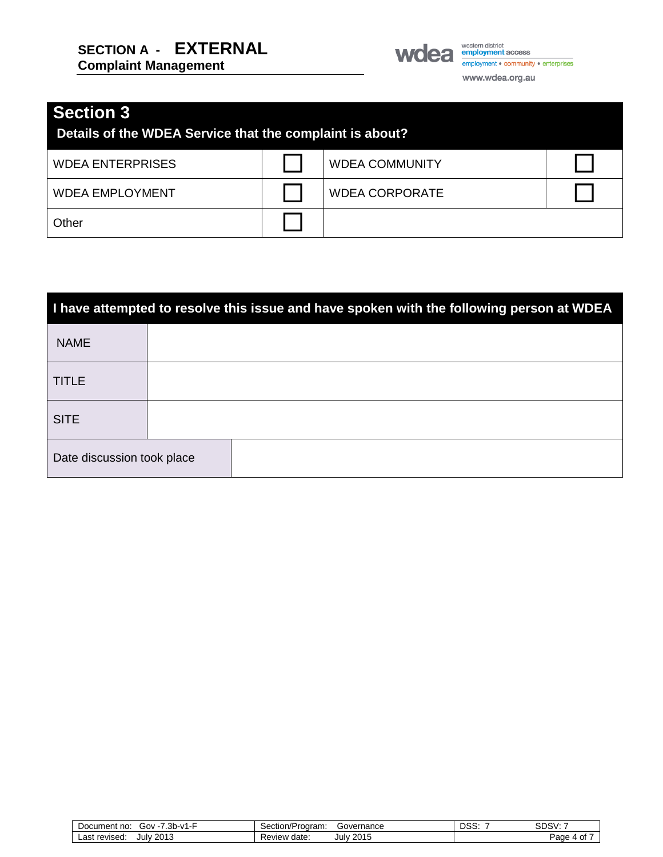

WOCA employment access www.wdea.org.au

## **Section 3**

| Details of the WDEA Service that the complaint is about? |  |                       |  |  |  |
|----------------------------------------------------------|--|-----------------------|--|--|--|
| <b>WDEA ENTERPRISES</b>                                  |  | <b>WDEA COMMUNITY</b> |  |  |  |
| <b>WDEA EMPLOYMENT</b>                                   |  | <b>WDEA CORPORATE</b> |  |  |  |
| Other                                                    |  |                       |  |  |  |

| I have attempted to resolve this issue and have spoken with the following person at WDEA |  |  |  |  |
|------------------------------------------------------------------------------------------|--|--|--|--|
| <b>NAME</b>                                                                              |  |  |  |  |
| <b>TITLE</b>                                                                             |  |  |  |  |
| <b>SITE</b>                                                                              |  |  |  |  |
| Date discussion took place                                                               |  |  |  |  |

| ົ ລພ<br>0۷ن<br>, 77<br>no<br>Document<br>- - ۷۱ - ۵۱ - ۵ | Governance<br>Section/Program:        | nee<br>טט | SDSV:      |
|----------------------------------------------------------|---------------------------------------|-----------|------------|
| 2013<br>∟ast∸<br>revised:<br>uulv :                      | 2015<br>date<br>Julv<br><b>Review</b> |           | ⊃aα∈<br>וש |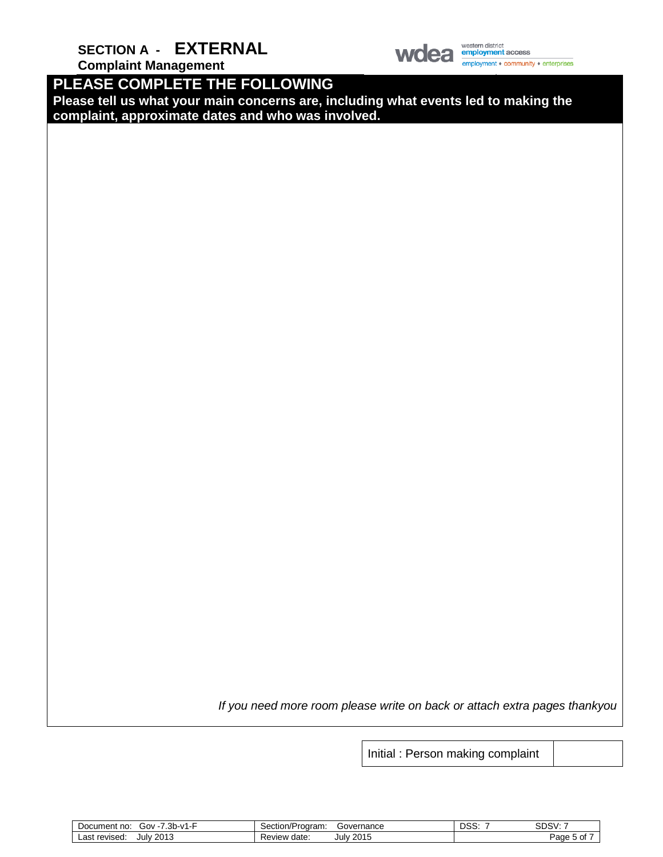**SECTION A - EXTERNAL**



western district<br>**employment** access employment + community + enterprises

**Complaint Management**

**PLEASE COMPLETE THE FOLLOWING**

**Please tell us what your main concerns are, including what events led to making the complaint, approximate dates and who was involved.**

*If you need more room please write on back or attach extra pages thankyou*

Initial : Person making complaint

| っト<br>- ۵D-۷1.<br>Document no:<br>. Gov<br>- 5 | Governance<br>Section/Program:  | <b>DSS</b> | <b>SDSV</b> |
|------------------------------------------------|---------------------------------|------------|-------------|
| 2013<br>revised<br>_as†<br>July                | 2015<br>date<br>Review<br>July: |            | ≌aαe        |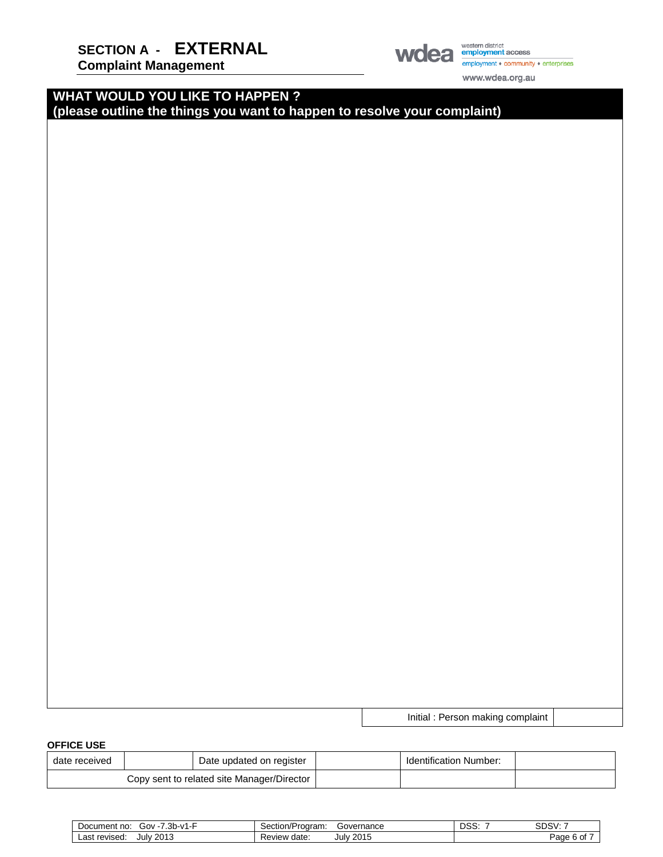**Complaint Management**



employment • community • enterprises

www.wdea.org.au

Initial : Person making complaint

#### **WHAT WOULD YOU LIKE TO HAPPEN ? (please outline the things you want to happen to resolve your complaint)**

**OFFICE USE** 

| --------                                   |  |                          |                               |  |
|--------------------------------------------|--|--------------------------|-------------------------------|--|
| date received                              |  | Date updated on register | <b>Identification Number:</b> |  |
| Copy sent to related site Manager/Director |  |                          |                               |  |

| っし<br>.<br>⁄ - ن00<br>no.<br>Document<br>31 I-V<br>.<br>$\cdot \cdot \cdot$ | Governance<br>ר⁄Program:<br>Section/ | noo<br>נ טע | CDOI<br>טכשכ |
|-----------------------------------------------------------------------------|--------------------------------------|-------------|--------------|
| 2013<br>∟ast<br>Julv<br>revised:                                            | 2015<br>Julv<br>date<br>⊀eview       |             | ∙aαe<br>0t   |